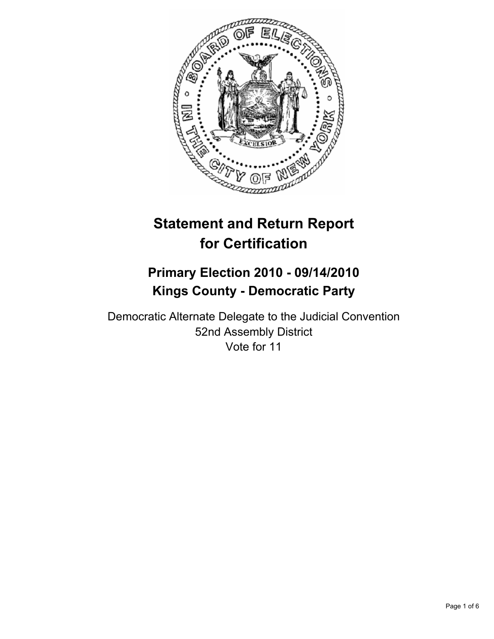

# **Statement and Return Report for Certification**

## **Primary Election 2010 - 09/14/2010 Kings County - Democratic Party**

Democratic Alternate Delegate to the Judicial Convention 52nd Assembly District Vote for 11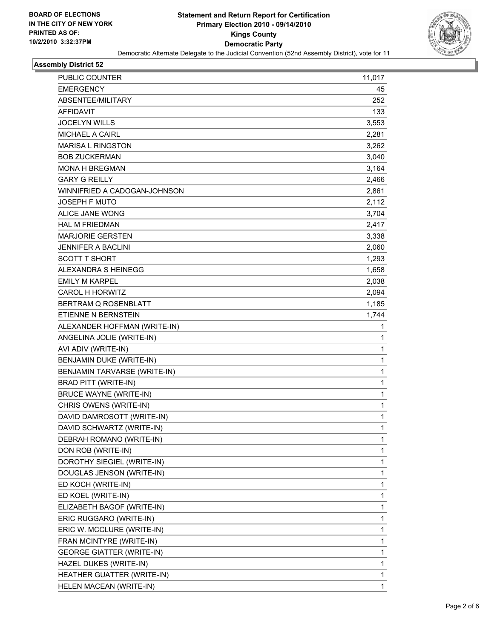

#### **Assembly District 52**

| PUBLIC COUNTER                   | 11,017       |
|----------------------------------|--------------|
| <b>EMERGENCY</b>                 | 45           |
| ABSENTEE/MILITARY                | 252          |
| <b>AFFIDAVIT</b>                 | 133          |
| <b>JOCELYN WILLS</b>             | 3,553        |
| MICHAEL A CAIRL                  | 2,281        |
| <b>MARISA L RINGSTON</b>         | 3,262        |
| <b>BOB ZUCKERMAN</b>             | 3,040        |
| <b>MONA H BREGMAN</b>            | 3,164        |
| <b>GARY G REILLY</b>             | 2,466        |
| WINNIFRIED A CADOGAN-JOHNSON     | 2,861        |
| <b>JOSEPH F MUTO</b>             | 2,112        |
| ALICE JANE WONG                  | 3,704        |
| <b>HAL M FRIEDMAN</b>            | 2,417        |
| <b>MARJORIE GERSTEN</b>          | 3,338        |
| <b>JENNIFER A BACLINI</b>        | 2,060        |
| <b>SCOTT T SHORT</b>             | 1,293        |
| ALEXANDRA S HEINEGG              | 1,658        |
| <b>EMILY M KARPEL</b>            | 2,038        |
| CAROL H HORWITZ                  | 2,094        |
| BERTRAM Q ROSENBLATT             | 1,185        |
| ETIENNE N BERNSTEIN              | 1,744        |
| ALEXANDER HOFFMAN (WRITE-IN)     | 1            |
| ANGELINA JOLIE (WRITE-IN)        | 1            |
| AVI ADIV (WRITE-IN)              | $\mathbf{1}$ |
| BENJAMIN DUKE (WRITE-IN)         | $\mathbf{1}$ |
| BENJAMIN TARVARSE (WRITE-IN)     | 1            |
| <b>BRAD PITT (WRITE-IN)</b>      | 1            |
| <b>BRUCE WAYNE (WRITE-IN)</b>    | $\mathbf{1}$ |
| CHRIS OWENS (WRITE-IN)           | 1            |
| DAVID DAMROSOTT (WRITE-IN)       | 1            |
| DAVID SCHWARTZ (WRITE-IN)        | 1            |
| DEBRAH ROMANO (WRITE-IN)         | 1            |
| DON ROB (WRITE-IN)               | 1            |
| DOROTHY SIEGIEL (WRITE-IN)       | 1            |
| DOUGLAS JENSON (WRITE-IN)        | 1            |
| ED KOCH (WRITE-IN)               | 1            |
| ED KOEL (WRITE-IN)               | 1            |
| ELIZABETH BAGOF (WRITE-IN)       | 1            |
| ERIC RUGGARO (WRITE-IN)          | 1            |
| ERIC W. MCCLURE (WRITE-IN)       | 1            |
| FRAN MCINTYRE (WRITE-IN)         | 1            |
| <b>GEORGE GIATTER (WRITE-IN)</b> | 1            |
| HAZEL DUKES (WRITE-IN)           | 1            |
| HEATHER GUATTER (WRITE-IN)       | 1            |
| HELEN MACEAN (WRITE-IN)          | $\mathbf{1}$ |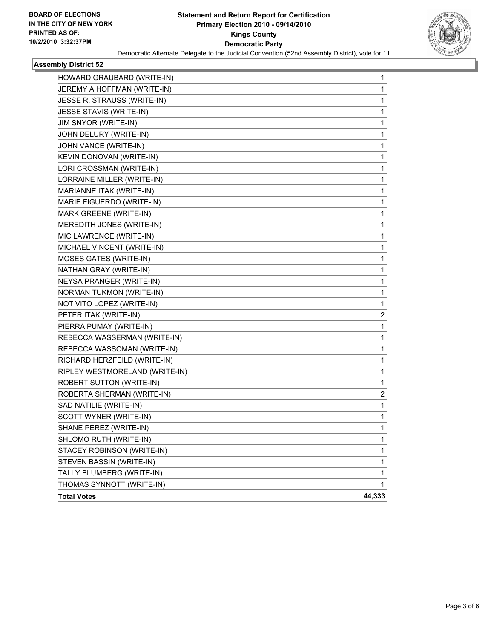

#### **Assembly District 52**

| HOWARD GRAUBARD (WRITE-IN)     | 1      |
|--------------------------------|--------|
| JEREMY A HOFFMAN (WRITE-IN)    | 1      |
| JESSE R. STRAUSS (WRITE-IN)    | 1      |
| JESSE STAVIS (WRITE-IN)        | 1      |
| JIM SNYOR (WRITE-IN)           | 1      |
| JOHN DELURY (WRITE-IN)         | 1      |
| JOHN VANCE (WRITE-IN)          | 1      |
| KEVIN DONOVAN (WRITE-IN)       | 1      |
| LORI CROSSMAN (WRITE-IN)       | 1      |
| LORRAINE MILLER (WRITE-IN)     | 1      |
| MARIANNE ITAK (WRITE-IN)       | 1      |
| MARIE FIGUERDO (WRITE-IN)      | 1      |
| MARK GREENE (WRITE-IN)         | 1      |
| MEREDITH JONES (WRITE-IN)      | 1      |
| MIC LAWRENCE (WRITE-IN)        | 1      |
| MICHAEL VINCENT (WRITE-IN)     | 1      |
| <b>MOSES GATES (WRITE-IN)</b>  | 1      |
| NATHAN GRAY (WRITE-IN)         | 1      |
| NEYSA PRANGER (WRITE-IN)       | 1      |
| NORMAN TUKMON (WRITE-IN)       | 1      |
| NOT VITO LOPEZ (WRITE-IN)      | 1      |
| PETER ITAK (WRITE-IN)          | 2      |
| PIERRA PUMAY (WRITE-IN)        | 1      |
| REBECCA WASSERMAN (WRITE-IN)   | 1      |
| REBECCA WASSOMAN (WRITE-IN)    | 1      |
| RICHARD HERZFEILD (WRITE-IN)   | 1      |
| RIPLEY WESTMORELAND (WRITE-IN) | 1      |
| ROBERT SUTTON (WRITE-IN)       | 1      |
| ROBERTA SHERMAN (WRITE-IN)     | 2      |
| SAD NATILIE (WRITE-IN)         | 1      |
| SCOTT WYNER (WRITE-IN)         | 1      |
| SHANE PEREZ (WRITE-IN)         | 1      |
| SHLOMO RUTH (WRITE-IN)         | 1      |
| STACEY ROBINSON (WRITE-IN)     | 1      |
| STEVEN BASSIN (WRITE-IN)       | 1      |
| TALLY BLUMBERG (WRITE-IN)      | 1      |
| THOMAS SYNNOTT (WRITE-IN)      | 1      |
| <b>Total Votes</b>             | 44,333 |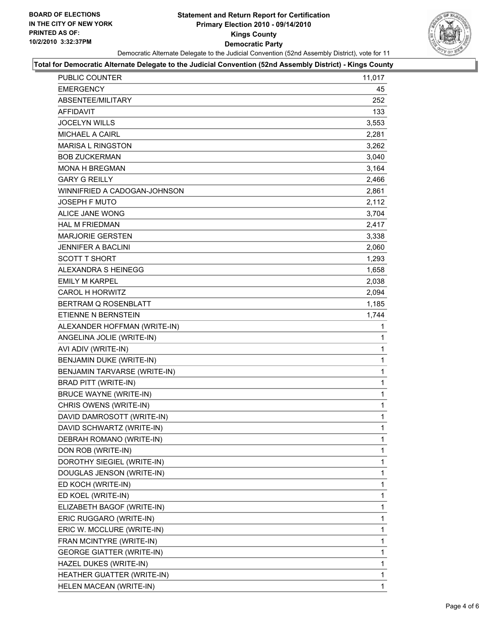#### **Statement and Return Report for Certification Primary Election 2010 - 09/14/2010 Kings County Democratic Party** Democratic Alternate Delegate to the Judicial Convention (52nd Assembly District), vote for 11



#### **Total for Democratic Alternate Delegate to the Judicial Convention (52nd Assembly District) - Kings County**

| <b>PUBLIC COUNTER</b>            | 11,017 |
|----------------------------------|--------|
| <b>EMERGENCY</b>                 | 45     |
| ABSENTEE/MILITARY                | 252    |
| AFFIDAVIT                        | 133    |
| <b>JOCELYN WILLS</b>             | 3,553  |
| <b>MICHAEL A CAIRL</b>           | 2,281  |
| <b>MARISA L RINGSTON</b>         | 3,262  |
| <b>BOB ZUCKERMAN</b>             | 3,040  |
| <b>MONA H BREGMAN</b>            | 3,164  |
| <b>GARY G REILLY</b>             | 2,466  |
| WINNIFRIED A CADOGAN-JOHNSON     | 2,861  |
| JOSEPH F MUTO                    | 2,112  |
| <b>ALICE JANE WONG</b>           | 3,704  |
| <b>HAL M FRIEDMAN</b>            | 2,417  |
| <b>MARJORIE GERSTEN</b>          | 3,338  |
| JENNIFER A BACLINI               | 2,060  |
| <b>SCOTT T SHORT</b>             | 1.293  |
| ALEXANDRA S HEINEGG              | 1,658  |
| <b>EMILY M KARPEL</b>            | 2,038  |
| <b>CAROL H HORWITZ</b>           | 2,094  |
| BERTRAM Q ROSENBLATT             | 1,185  |
| ETIENNE N BERNSTEIN              | 1,744  |
| ALEXANDER HOFFMAN (WRITE-IN)     | 1      |
| ANGELINA JOLIE (WRITE-IN)        | 1      |
| AVI ADIV (WRITE-IN)              | 1      |
| BENJAMIN DUKE (WRITE-IN)         | 1      |
| BENJAMIN TARVARSE (WRITE-IN)     | 1      |
| <b>BRAD PITT (WRITE-IN)</b>      | 1      |
| <b>BRUCE WAYNE (WRITE-IN)</b>    | 1      |
| CHRIS OWENS (WRITE-IN)           | 1      |
| DAVID DAMROSOTT (WRITE-IN)       | 1      |
| DAVID SCHWARTZ (WRITE-IN)        | 1      |
| DEBRAH ROMANO (WRITE-IN)         | 1      |
| DON ROB (WRITE-IN)               | 1      |
| DOROTHY SIEGIEL (WRITE-IN)       | 1      |
| DOUGLAS JENSON (WRITE-IN)        | 1      |
| ED KOCH (WRITE-IN)               | 1      |
| ED KOEL (WRITE-IN)               | 1      |
| ELIZABETH BAGOF (WRITE-IN)       | 1      |
| ERIC RUGGARO (WRITE-IN)          | 1      |
| ERIC W. MCCLURE (WRITE-IN)       | 1      |
| FRAN MCINTYRE (WRITE-IN)         | 1      |
| <b>GEORGE GIATTER (WRITE-IN)</b> | 1      |
| HAZEL DUKES (WRITE-IN)           | 1      |
| HEATHER GUATTER (WRITE-IN)       | 1      |
| HELEN MACEAN (WRITE-IN)          | 1      |
|                                  |        |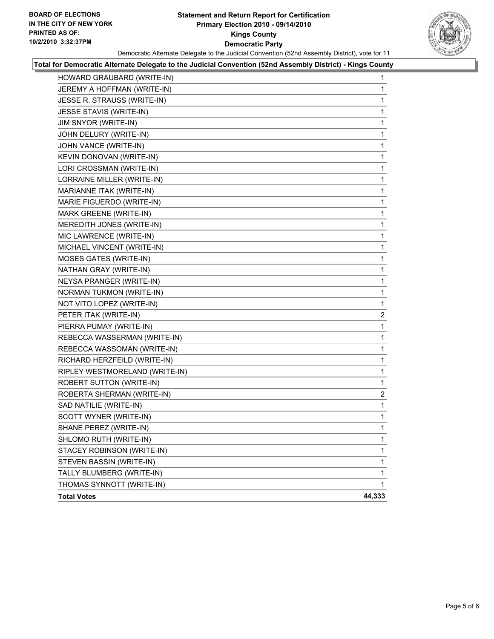#### **Statement and Return Report for Certification Primary Election 2010 - 09/14/2010 Kings County Democratic Party** Democratic Alternate Delegate to the Judicial Convention (52nd Assembly District), vote for 11



#### **Total for Democratic Alternate Delegate to the Judicial Convention (52nd Assembly District) - Kings County**

| HOWARD GRAUBARD (WRITE-IN)     | 1      |
|--------------------------------|--------|
| JEREMY A HOFFMAN (WRITE-IN)    | 1      |
| JESSE R. STRAUSS (WRITE-IN)    | 1      |
| JESSE STAVIS (WRITE-IN)        | 1      |
| JIM SNYOR (WRITE-IN)           | 1      |
| JOHN DELURY (WRITE-IN)         | 1      |
| JOHN VANCE (WRITE-IN)          | 1      |
| KEVIN DONOVAN (WRITE-IN)       | 1      |
| LORI CROSSMAN (WRITE-IN)       | 1      |
| LORRAINE MILLER (WRITE-IN)     | 1      |
| MARIANNE ITAK (WRITE-IN)       | 1      |
| MARIE FIGUERDO (WRITE-IN)      | 1      |
| MARK GREENE (WRITE-IN)         | 1      |
| MEREDITH JONES (WRITE-IN)      | 1      |
| MIC LAWRENCE (WRITE-IN)        | 1      |
| MICHAEL VINCENT (WRITE-IN)     | 1      |
| MOSES GATES (WRITE-IN)         | 1      |
| NATHAN GRAY (WRITE-IN)         | 1      |
| NEYSA PRANGER (WRITE-IN)       | 1      |
| NORMAN TUKMON (WRITE-IN)       | 1      |
| NOT VITO LOPEZ (WRITE-IN)      | 1      |
| PETER ITAK (WRITE-IN)          | 2      |
| PIERRA PUMAY (WRITE-IN)        | 1      |
| REBECCA WASSERMAN (WRITE-IN)   | 1      |
| REBECCA WASSOMAN (WRITE-IN)    | 1      |
| RICHARD HERZFEILD (WRITE-IN)   | 1      |
| RIPLEY WESTMORELAND (WRITE-IN) | 1      |
| ROBERT SUTTON (WRITE-IN)       | 1      |
| ROBERTA SHERMAN (WRITE-IN)     | 2      |
| SAD NATILIE (WRITE-IN)         | 1      |
| SCOTT WYNER (WRITE-IN)         | 1      |
| SHANE PEREZ (WRITE-IN)         | 1      |
| SHLOMO RUTH (WRITE-IN)         | 1      |
| STACEY ROBINSON (WRITE-IN)     | 1      |
| STEVEN BASSIN (WRITE-IN)       | 1      |
| TALLY BLUMBERG (WRITE-IN)      | 1      |
| THOMAS SYNNOTT (WRITE-IN)      | 1      |
| <b>Total Votes</b>             | 44,333 |